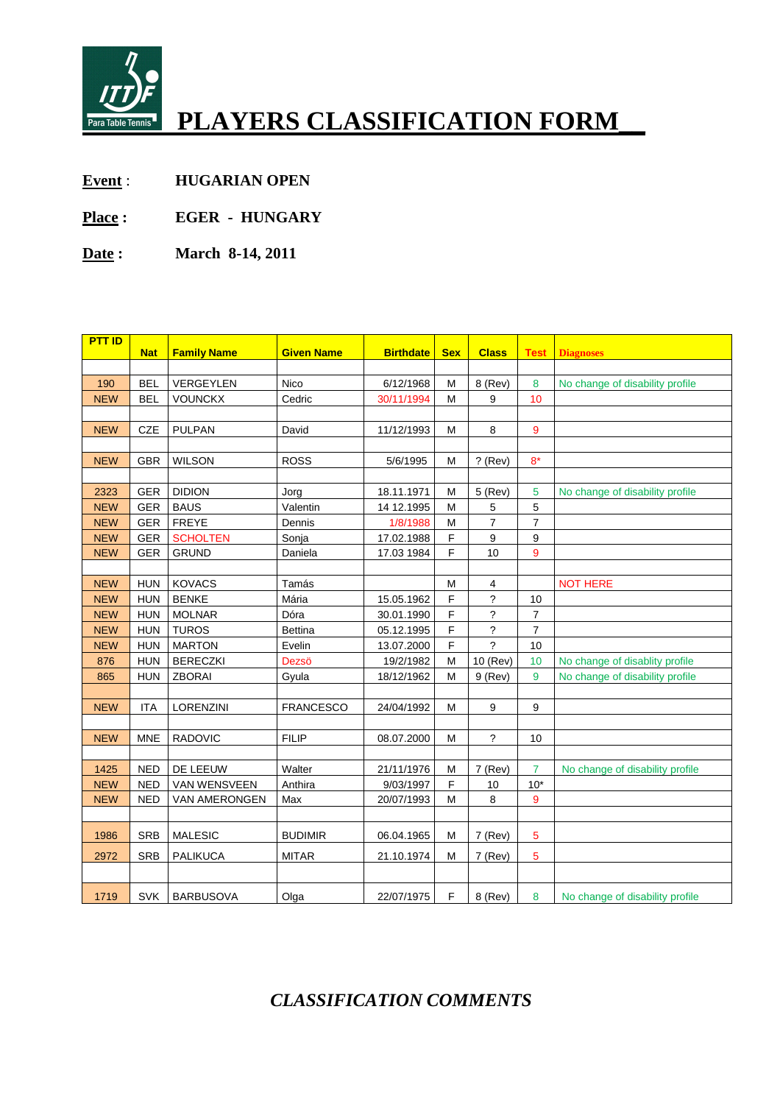

# **PLAYERS CLASSIFICATION FORM\_\_**

- **Event** : **HUGARIAN OPEN**
- **Place : EGER HUNGARY**
- **Date : March 8-14, 2011**

| <b>PTT ID</b> |            |                    |                   |                  |            |                          |                  |                                 |
|---------------|------------|--------------------|-------------------|------------------|------------|--------------------------|------------------|---------------------------------|
|               | <b>Nat</b> | <b>Family Name</b> | <b>Given Name</b> | <b>Birthdate</b> | <b>Sex</b> | <b>Class</b>             | <b>Test</b>      | <b>Diagnoses</b>                |
| 190           | <b>BEL</b> | VERGEYLEN          | Nico              | 6/12/1968        | M          | 8 (Rev)                  | 8                | No change of disability profile |
| <b>NEW</b>    | <b>BEL</b> | <b>VOUNCKX</b>     | Cedric            | 30/11/1994       | M          | 9                        | 10               |                                 |
|               |            |                    |                   |                  |            |                          |                  |                                 |
| <b>NEW</b>    | CZE        | <b>PULPAN</b>      | David             | 11/12/1993       | M          | 8                        | 9                |                                 |
|               |            |                    |                   |                  |            |                          |                  |                                 |
| <b>NEW</b>    | <b>GBR</b> | <b>WILSON</b>      | <b>ROSS</b>       | 5/6/1995         | M          | $?$ (Rev)                | $8*$             |                                 |
|               |            |                    |                   |                  |            |                          |                  |                                 |
| 2323          | <b>GER</b> | <b>DIDION</b>      | Jorg              | 18.11.1971       | M          | 5 (Rev)                  | 5                | No change of disability profile |
| <b>NEW</b>    | <b>GER</b> | <b>BAUS</b>        | Valentin          | 14 12.1995       | М          | 5                        | 5                |                                 |
| <b>NEW</b>    | <b>GER</b> | <b>FREYE</b>       | Dennis            | 1/8/1988         | M          | $\overline{7}$           | $\overline{7}$   |                                 |
| <b>NEW</b>    | <b>GER</b> | <b>SCHOLTEN</b>    | Sonja             | 17.02.1988       | F          | 9                        | 9                |                                 |
| <b>NEW</b>    | <b>GER</b> | <b>GRUND</b>       | Daniela           | 17.03 1984       | F          | 10                       | 9                |                                 |
|               |            |                    |                   |                  |            |                          |                  |                                 |
| <b>NEW</b>    | <b>HUN</b> | <b>KOVACS</b>      | Tamás             |                  | M          | 4                        |                  | <b>NOT HERE</b>                 |
| <b>NEW</b>    | <b>HUN</b> | <b>BENKE</b>       | Mária             | 15.05.1962       | F          | $\overline{?}$           | 10               |                                 |
| <b>NEW</b>    | <b>HUN</b> | <b>MOLNAR</b>      | Dóra              | 30.01.1990       | F          | $\overline{?}$           | $\overline{7}$   |                                 |
| <b>NEW</b>    | <b>HUN</b> | <b>TUROS</b>       | <b>Bettina</b>    | 05.12.1995       | F          | $\overline{\phantom{a}}$ | $\overline{7}$   |                                 |
| <b>NEW</b>    | <b>HUN</b> | <b>MARTON</b>      | Evelin            | 13.07.2000       | F          | $\tilde{?}$              | 10               |                                 |
| 876           | <b>HUN</b> | <b>BERECZKI</b>    | Dezsö             | 19/2/1982        | M          | 10 (Rev)                 | 10               | No change of disablity profile  |
| 865           | <b>HUN</b> | <b>ZBORAI</b>      | Gyula             | 18/12/1962       | M          | $9$ (Rev)                | 9                | No change of disability profile |
|               |            |                    |                   |                  |            |                          |                  |                                 |
| <b>NEW</b>    | <b>ITA</b> | LORENZINI          | <b>FRANCESCO</b>  | 24/04/1992       | M          | 9                        | $\boldsymbol{9}$ |                                 |
|               |            |                    |                   |                  |            |                          |                  |                                 |
| <b>NEW</b>    | <b>MNE</b> | RADOVIC            | <b>FILIP</b>      | 08.07.2000       | M          | $\overline{\phantom{a}}$ | 10               |                                 |
|               |            |                    |                   |                  |            |                          |                  |                                 |
| 1425          | <b>NED</b> | DE LEEUW           | Walter            | 21/11/1976       | M          | $7$ (Rev)                | 7                | No change of disability profile |
| <b>NEW</b>    | <b>NED</b> | VAN WENSVEEN       | Anthira           | 9/03/1997        | F          | 10                       | $10*$            |                                 |
| <b>NEW</b>    | <b>NED</b> | VAN AMERONGEN      | Max               | 20/07/1993       | M          | 8                        | 9                |                                 |
|               |            |                    |                   |                  |            |                          |                  |                                 |
| 1986          | <b>SRB</b> | <b>MALESIC</b>     | <b>BUDIMIR</b>    | 06.04.1965       | M          | $7$ (Rev)                | 5                |                                 |
| 2972          | <b>SRB</b> | <b>PALIKUCA</b>    | <b>MITAR</b>      | 21.10.1974       | м          | $7$ (Rev)                | 5                |                                 |
|               |            |                    |                   |                  |            |                          |                  |                                 |
|               |            |                    |                   |                  |            |                          |                  |                                 |
| 1719          | SVK        | <b>BARBUSOVA</b>   | Olga              | 22/07/1975       | F          | 8 (Rev)                  | 8                | No change of disability profile |

## *CLASSIFICATION COMMENTS*